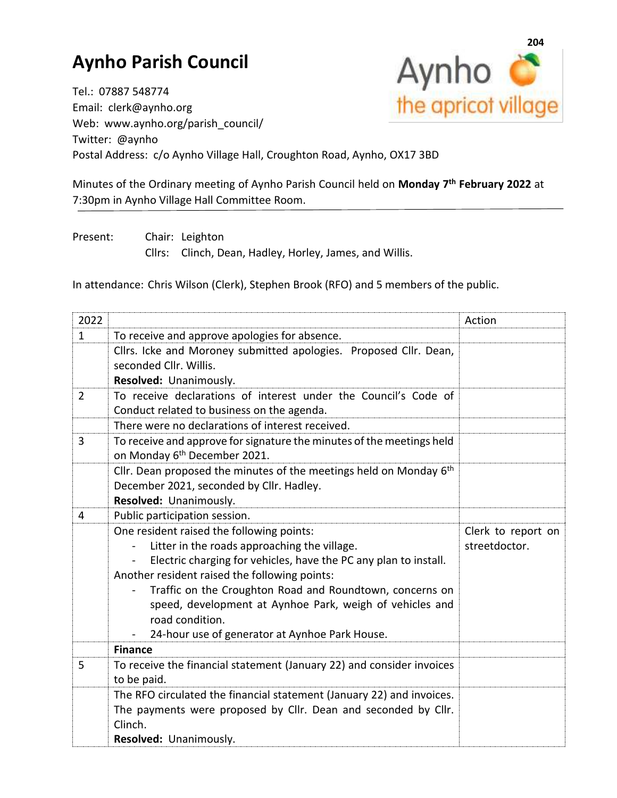## **Aynho Parish Council**



Tel.: 07887 548774 Email: clerk@aynho.org Web: www.aynho.org/parish\_council/ Twitter: @aynho Postal Address: c/o Aynho Village Hall, Croughton Road, Aynho, OX17 3BD

Minutes of the Ordinary meeting of Aynho Parish Council held on **Monday 7 th February 2022** at 7:30pm in Aynho Village Hall Committee Room.

Present: Chair: Leighton Cllrs: Clinch, Dean, Hadley, Horley, James, and Willis.

In attendance: Chris Wilson (Clerk), Stephen Brook (RFO) and 5 members of the public.

| 2022           |                                                                                                                                                                                                                                                                                                                                                                                                                                              | Action                              |
|----------------|----------------------------------------------------------------------------------------------------------------------------------------------------------------------------------------------------------------------------------------------------------------------------------------------------------------------------------------------------------------------------------------------------------------------------------------------|-------------------------------------|
| $\mathbf{1}$   | To receive and approve apologies for absence.                                                                                                                                                                                                                                                                                                                                                                                                |                                     |
|                | Cllrs. Icke and Moroney submitted apologies. Proposed Cllr. Dean,<br>seconded Cllr. Willis.<br>Resolved: Unanimously.                                                                                                                                                                                                                                                                                                                        |                                     |
| $\overline{2}$ | To receive declarations of interest under the Council's Code of<br>Conduct related to business on the agenda.                                                                                                                                                                                                                                                                                                                                |                                     |
|                | There were no declarations of interest received.                                                                                                                                                                                                                                                                                                                                                                                             |                                     |
| 3              | To receive and approve for signature the minutes of the meetings held<br>on Monday 6 <sup>th</sup> December 2021.                                                                                                                                                                                                                                                                                                                            |                                     |
|                | Cllr. Dean proposed the minutes of the meetings held on Monday $6th$<br>December 2021, seconded by Cllr. Hadley.                                                                                                                                                                                                                                                                                                                             |                                     |
| 4              | Resolved: Unanimously.                                                                                                                                                                                                                                                                                                                                                                                                                       |                                     |
|                | Public participation session.<br>One resident raised the following points:<br>Litter in the roads approaching the village.<br>Electric charging for vehicles, have the PC any plan to install.<br>Another resident raised the following points:<br>Traffic on the Croughton Road and Roundtown, concerns on<br>speed, development at Aynhoe Park, weigh of vehicles and<br>road condition.<br>24-hour use of generator at Aynhoe Park House. | Clerk to report on<br>streetdoctor. |
|                | <b>Finance</b>                                                                                                                                                                                                                                                                                                                                                                                                                               |                                     |
| 5              | To receive the financial statement (January 22) and consider invoices<br>to be paid.                                                                                                                                                                                                                                                                                                                                                         |                                     |
|                | The RFO circulated the financial statement (January 22) and invoices.<br>The payments were proposed by Cllr. Dean and seconded by Cllr.<br>Clinch.<br>Resolved: Unanimously.                                                                                                                                                                                                                                                                 |                                     |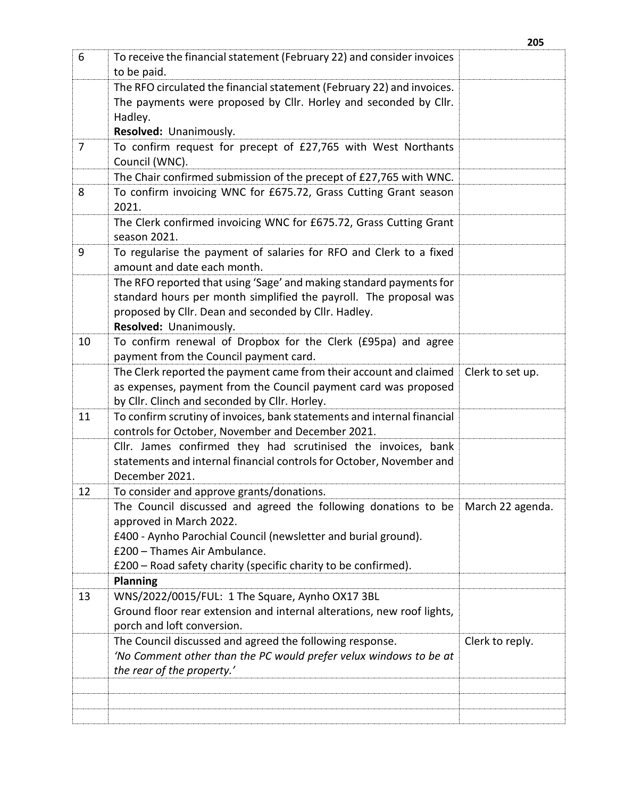| 6              | To receive the financial statement (February 22) and consider invoices<br>to be paid.             |                  |
|----------------|---------------------------------------------------------------------------------------------------|------------------|
|                | The RFO circulated the financial statement (February 22) and invoices.                            |                  |
|                | The payments were proposed by Cllr. Horley and seconded by Cllr.                                  |                  |
|                | Hadley.                                                                                           |                  |
|                | Resolved: Unanimously.                                                                            |                  |
| $\overline{7}$ | To confirm request for precept of £27,765 with West Northants                                     |                  |
|                | Council (WNC).                                                                                    |                  |
|                | The Chair confirmed submission of the precept of £27,765 with WNC.                                |                  |
| 8              | To confirm invoicing WNC for £675.72, Grass Cutting Grant season<br>2021.                         |                  |
|                | The Clerk confirmed invoicing WNC for £675.72, Grass Cutting Grant                                |                  |
|                | season 2021.                                                                                      |                  |
| 9              | To regularise the payment of salaries for RFO and Clerk to a fixed<br>amount and date each month. |                  |
|                | The RFO reported that using 'Sage' and making standard payments for                               |                  |
|                | standard hours per month simplified the payroll. The proposal was                                 |                  |
|                | proposed by Cllr. Dean and seconded by Cllr. Hadley.                                              |                  |
|                | Resolved: Unanimously.                                                                            |                  |
| 10             | To confirm renewal of Dropbox for the Clerk (£95pa) and agree                                     |                  |
|                | payment from the Council payment card.                                                            |                  |
|                | The Clerk reported the payment came from their account and claimed                                | Clerk to set up. |
|                | as expenses, payment from the Council payment card was proposed                                   |                  |
|                | by Cllr. Clinch and seconded by Cllr. Horley.                                                     |                  |
| 11             | To confirm scrutiny of invoices, bank statements and internal financial                           |                  |
|                | controls for October, November and December 2021.                                                 |                  |
|                | Cllr. James confirmed they had scrutinised the invoices, bank                                     |                  |
|                | statements and internal financial controls for October, November and<br>December 2021.            |                  |
| 12             | To consider and approve grants/donations.                                                         |                  |
|                | The Council discussed and agreed the following donations to be                                    | March 22 agenda. |
|                | approved in March 2022.                                                                           |                  |
|                | £400 - Aynho Parochial Council (newsletter and burial ground).                                    |                  |
|                | £200 - Thames Air Ambulance.                                                                      |                  |
|                | £200 - Road safety charity (specific charity to be confirmed).                                    |                  |
|                | <b>Planning</b>                                                                                   |                  |
| 13             | WNS/2022/0015/FUL: 1 The Square, Aynho OX17 3BL                                                   |                  |
|                | Ground floor rear extension and internal alterations, new roof lights,                            |                  |
|                | porch and loft conversion.                                                                        |                  |
|                | The Council discussed and agreed the following response.                                          | Clerk to reply.  |
|                | 'No Comment other than the PC would prefer velux windows to be at                                 |                  |
|                | the rear of the property.'                                                                        |                  |
|                |                                                                                                   |                  |
|                |                                                                                                   |                  |
|                |                                                                                                   |                  |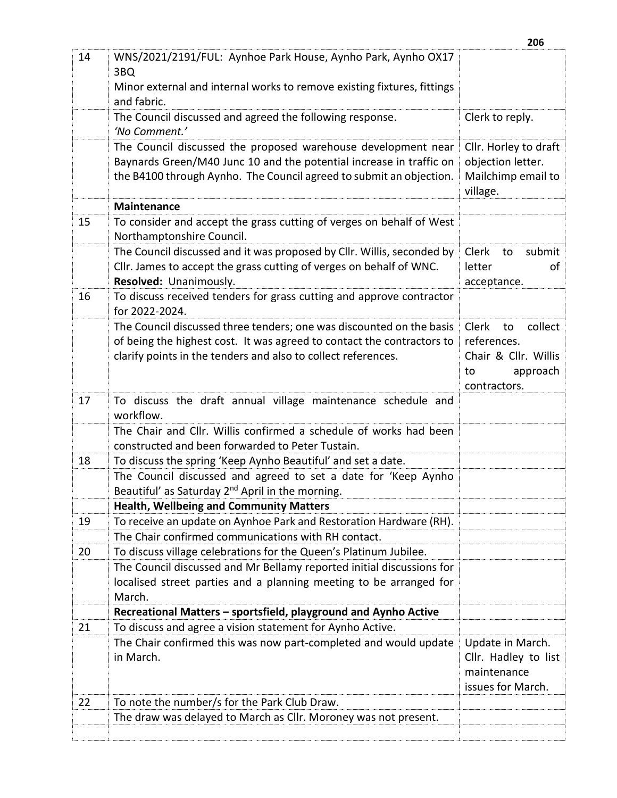|    |                                                                                                                                            | 206                                     |
|----|--------------------------------------------------------------------------------------------------------------------------------------------|-----------------------------------------|
| 14 | WNS/2021/2191/FUL: Aynhoe Park House, Aynho Park, Aynho OX17                                                                               |                                         |
|    | 3BQ                                                                                                                                        |                                         |
|    | Minor external and internal works to remove existing fixtures, fittings<br>and fabric.                                                     |                                         |
|    | The Council discussed and agreed the following response.                                                                                   | Clerk to reply.                         |
|    | 'No Comment.'                                                                                                                              |                                         |
|    | The Council discussed the proposed warehouse development near                                                                              | Cllr. Horley to draft                   |
|    | Baynards Green/M40 Junc 10 and the potential increase in traffic on<br>the B4100 through Aynho. The Council agreed to submit an objection. | objection letter.<br>Mailchimp email to |
|    |                                                                                                                                            | village.                                |
|    | <b>Maintenance</b>                                                                                                                         |                                         |
| 15 | To consider and accept the grass cutting of verges on behalf of West                                                                       |                                         |
|    | Northamptonshire Council.                                                                                                                  |                                         |
|    | The Council discussed and it was proposed by Cllr. Willis, seconded by                                                                     | Clerk<br>submit<br>to                   |
|    | Cllr. James to accept the grass cutting of verges on behalf of WNC.<br>Resolved: Unanimously.                                              | letter<br>οf                            |
| 16 | To discuss received tenders for grass cutting and approve contractor                                                                       | acceptance.                             |
|    | for 2022-2024.                                                                                                                             |                                         |
|    | The Council discussed three tenders; one was discounted on the basis                                                                       | collect<br><b>Clerk</b><br>to           |
|    | of being the highest cost. It was agreed to contact the contractors to                                                                     | references.                             |
|    | clarify points in the tenders and also to collect references.                                                                              | Chair & Cllr. Willis                    |
|    |                                                                                                                                            | approach<br>to                          |
|    |                                                                                                                                            | contractors.                            |
| 17 | To discuss the draft annual village maintenance schedule and<br>workflow.                                                                  |                                         |
|    | The Chair and Cllr. Willis confirmed a schedule of works had been                                                                          |                                         |
|    | constructed and been forwarded to Peter Tustain.                                                                                           |                                         |
| 18 | To discuss the spring 'Keep Aynho Beautiful' and set a date.                                                                               |                                         |
|    | The Council discussed and agreed to set a date for 'Keep Aynho                                                                             |                                         |
|    | Beautiful' as Saturday 2 <sup>nd</sup> April in the morning.                                                                               |                                         |
|    | <b>Health, Wellbeing and Community Matters</b>                                                                                             |                                         |
| 19 | To receive an update on Aynhoe Park and Restoration Hardware (RH).<br>The Chair confirmed communications with RH contact.                  |                                         |
| 20 | To discuss village celebrations for the Queen's Platinum Jubilee.                                                                          |                                         |
|    | The Council discussed and Mr Bellamy reported initial discussions for                                                                      |                                         |
|    | localised street parties and a planning meeting to be arranged for                                                                         |                                         |
|    | March.                                                                                                                                     |                                         |
|    | Recreational Matters - sportsfield, playground and Aynho Active                                                                            |                                         |
| 21 | To discuss and agree a vision statement for Aynho Active.                                                                                  |                                         |
|    | The Chair confirmed this was now part-completed and would update                                                                           | Update in March.                        |
|    | in March.                                                                                                                                  | Cllr. Hadley to list                    |
|    |                                                                                                                                            | maintenance                             |
| 22 |                                                                                                                                            | issues for March.                       |
|    | To note the number/s for the Park Club Draw.<br>The draw was delayed to March as Cllr. Moroney was not present.                            |                                         |
|    |                                                                                                                                            |                                         |
|    |                                                                                                                                            |                                         |